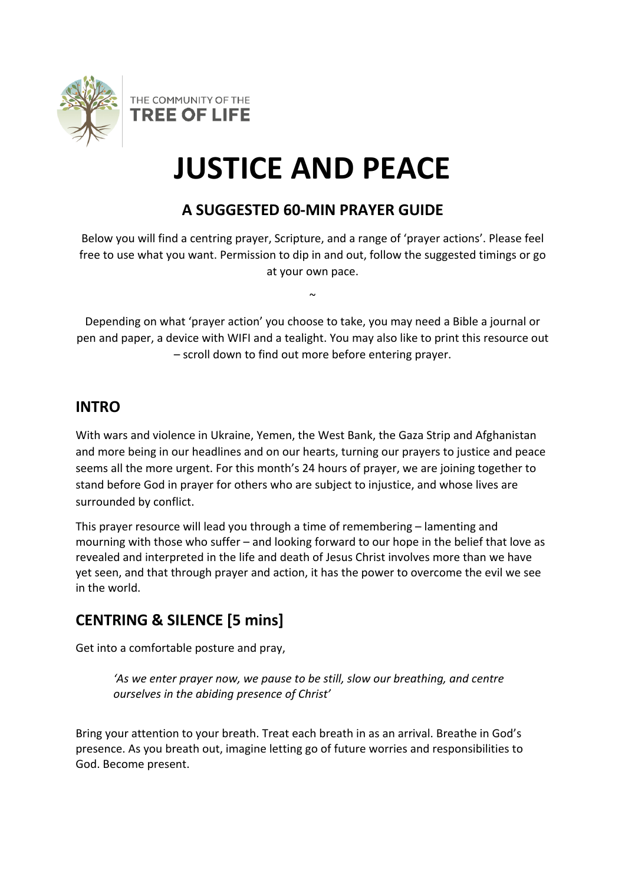

**TREE OF LIFE** 

THE COMMUNITY OF THE

# **JUSTICE AND PEACE**

# **A SUGGESTED 60-MIN PRAYER GUIDE**

Below you will find a centring prayer, Scripture, and a range of 'prayer actions'. Please feel free to use what you want. Permission to dip in and out, follow the suggested timings or go at your own pace.

Depending on what 'prayer action' you choose to take, you may need a Bible a journal or pen and paper, a device with WIFI and a tealight. You may also like to print this resource out – scroll down to find out more before entering prayer.

 $\sim$ 

## **INTRO**

With wars and violence in Ukraine, Yemen, the West Bank, the Gaza Strip and Afghanistan and more being in our headlines and on our hearts, turning our prayers to justice and peace seems all the more urgent. For this month's 24 hours of prayer, we are joining together to stand before God in prayer for others who are subject to injustice, and whose lives are surrounded by conflict.

This prayer resource will lead you through a time of remembering – lamenting and mourning with those who suffer – and looking forward to our hope in the belief that love as revealed and interpreted in the life and death of Jesus Christ involves more than we have yet seen, and that through prayer and action, it has the power to overcome the evil we see in the world.

# **CENTRING & SILENCE [5 mins]**

Get into a comfortable posture and pray,

*'As we enter prayer now, we pause to be still, slow our breathing, and centre ourselves in the abiding presence of Christ'* 

Bring your attention to your breath. Treat each breath in as an arrival. Breathe in God's presence. As you breath out, imagine letting go of future worries and responsibilities to God. Become present.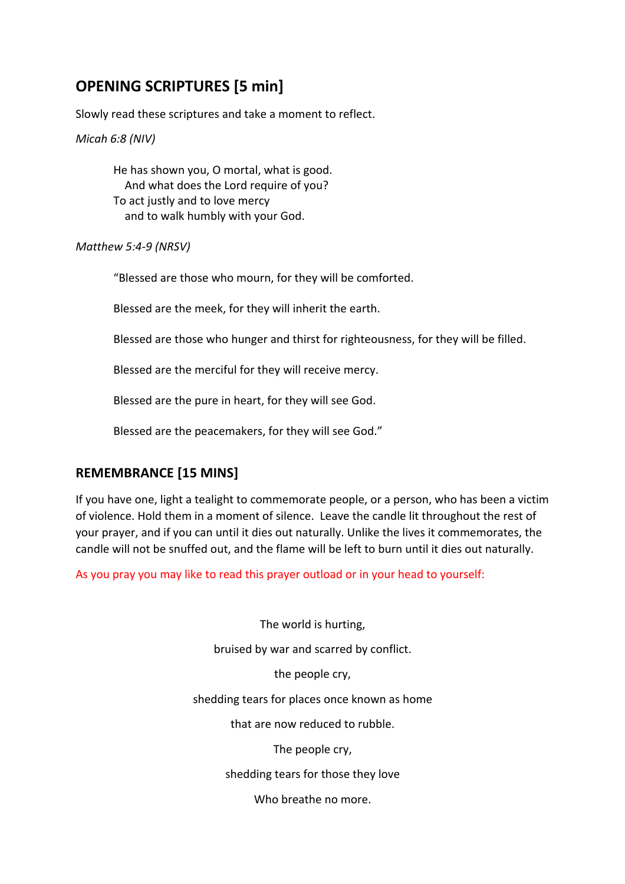# **OPENING SCRIPTURES [5 min]**

Slowly read these scriptures and take a moment to reflect.

*Micah 6:8 (NIV)*

He has shown you, O mortal, what is good. And what does the Lord require of you? To act justly and to love mercy and to walk humbly with your God.

*Matthew 5:4-9 (NRSV)*

"Blessed are those who mourn, for they will be comforted.

Blessed are the meek, for they will inherit the earth.

Blessed are those who hunger and thirst for righteousness, for they will be filled.

Blessed are the merciful for they will receive mercy.

Blessed are the pure in heart, for they will see God.

Blessed are the peacemakers, for they will see God."

## **REMEMBRANCE [15 MINS]**

If you have one, light a tealight to commemorate people, or a person, who has been a victim of violence. Hold them in a moment of silence. Leave the candle lit throughout the rest of your prayer, and if you can until it dies out naturally. Unlike the lives it commemorates, the candle will not be snuffed out, and the flame will be left to burn until it dies out naturally.

As you pray you may like to read this prayer outload or in your head to yourself:

The world is hurting,

bruised by war and scarred by conflict.

the people cry,

shedding tears for places once known as home

that are now reduced to rubble.

The people cry,

shedding tears for those they love

Who breathe no more.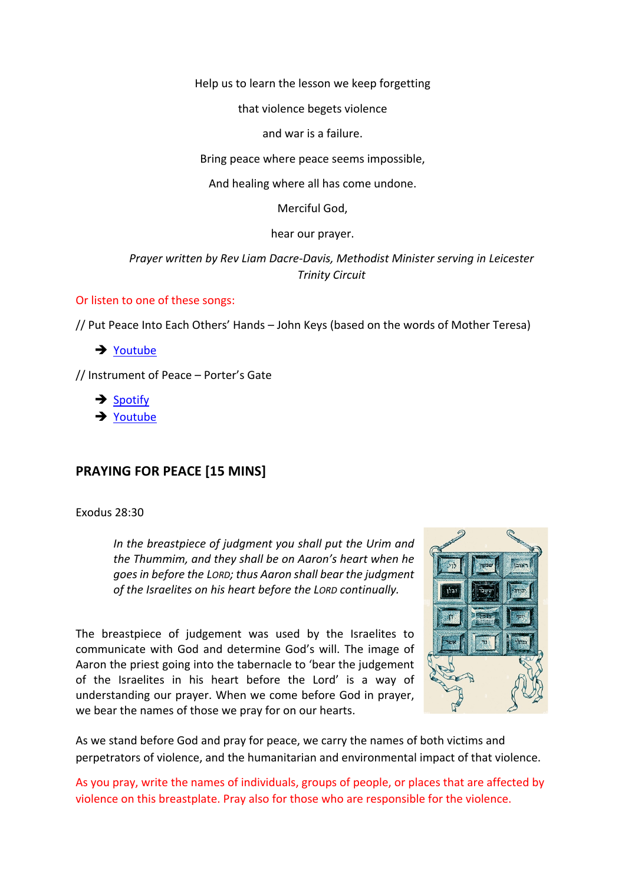Help us to learn the lesson we keep forgetting

that violence begets violence

and war is a failure.

Bring peace where peace seems impossible,

And healing where all has come undone.

Merciful God,

hear our prayer.

*Prayer written by Rev Liam Dacre-Davis, Methodist Minister serving in Leicester Trinity Circuit*

#### Or listen to one of these songs:

// Put Peace Into Each Others' Hands – John Keys (based on the words of Mother Teresa)

 $\rightarrow$  Youtube

// Instrument of Peace – Porter's Gate

 $\rightarrow$  Spotify

 $\rightarrow$  Youtube

#### **PRAYING FOR PEACE [15 MINS]**

Exodus 28:30

*In the breastpiece of judgment you shall put the Urim and the Thummim, and they shall be on Aaron's heart when he goes in before the LORD; thus Aaron shall bear the judgment of the Israelites on his heart before the LORD continually.*

The breastpiece of judgement was used by the Israelites to communicate with God and determine God's will. The image of Aaron the priest going into the tabernacle to 'bear the judgement of the Israelites in his heart before the Lord' is a way of understanding our prayer. When we come before God in prayer, we bear the names of those we pray for on our hearts.



As we stand before God and pray for peace, we carry the names of both victims and perpetrators of violence, and the humanitarian and environmental impact of that violence.

As you pray, write the names of individuals, groups of people, or places that are affected by violence on this breastplate. Pray also for those who are responsible for the violence.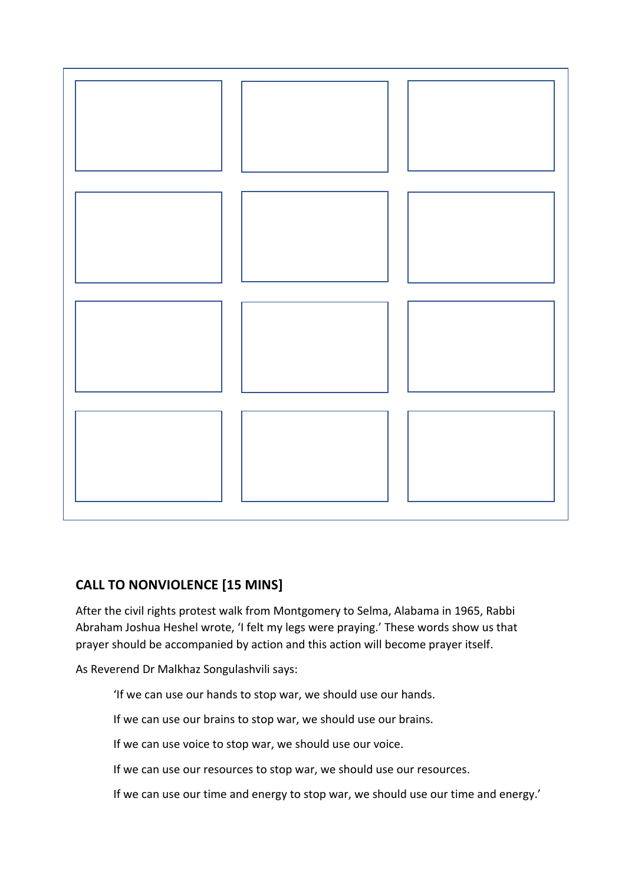

## **CALL TO NONVIOLENCE [15 MINS]**

After the civil rights protest walk from Montgomery to Selma, Alabama in 1965, Rabbi Abraham Joshua Heshel wrote, 'I felt my legs were praying.' These words show us that prayer should be accompanied by action and this action will become prayer itself.

As Reverend Dr Malkhaz Songulashvili says:

'If we can use our hands to stop war, we should use our hands.

If we can use our brains to stop war, we should use our brains.

If we can use voice to stop war, we should use our voice.

If we can use our resources to stop war, we should use our resources.

If we can use our time and energy to stop war, we should use our time and energy.'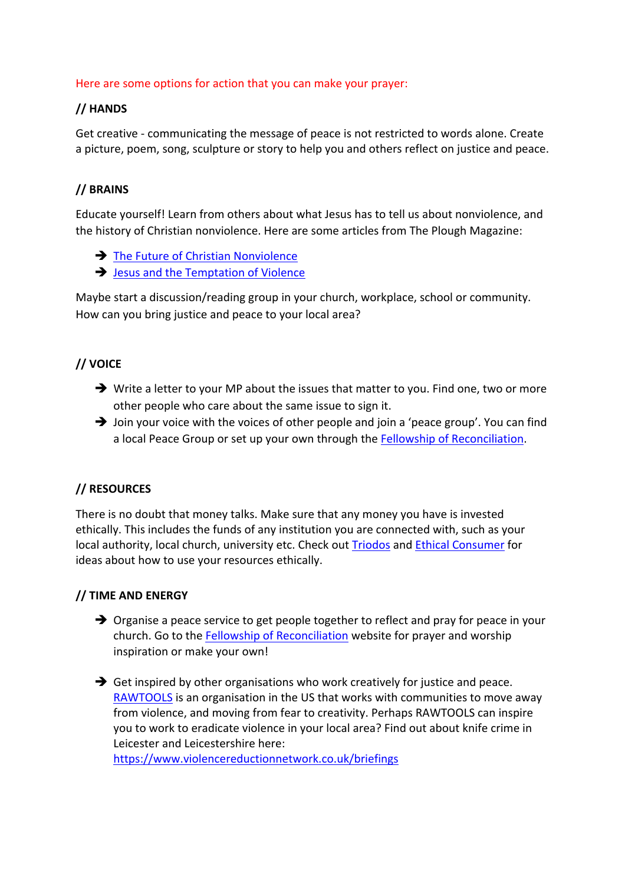#### Here are some options for action that you can make your prayer:

#### **// HANDS**

Get creative - communicating the message of peace is not restricted to words alone. Create a picture, poem, song, sculpture or story to help you and others reflect on justice and peace.

## **// BRAINS**

Educate yourself! Learn from others about what Jesus has to tell us about nonviolence, and the history of Christian nonviolence. Here are some articles from The Plough Magazine:

- $\rightarrow$  The Future of Christian Nonviolence
- $\rightarrow$  Jesus and the Temptation of Violence

Maybe start a discussion/reading group in your church, workplace, school or community. How can you bring justice and peace to your local area?

## **// VOICE**

- $\rightarrow$  Write a letter to your MP about the issues that matter to you. Find one, two or more other people who care about the same issue to sign it.
- $\rightarrow$  Join your voice with the voices of other people and join a 'peace group'. You can find a local Peace Group or set up your own through the Fellowship of Reconciliation.

## **// RESOURCES**

There is no doubt that money talks. Make sure that any money you have is invested ethically. This includes the funds of any institution you are connected with, such as your local authority, local church, university etc. Check out **Triodos** and **Ethical Consumer** for ideas about how to use your resources ethically.

## **// TIME AND ENERGY**

- $\rightarrow$  Organise a peace service to get people together to reflect and pray for peace in your church. Go to the Fellowship of Reconciliation website for prayer and worship inspiration or make your own!
- $\rightarrow$  Get inspired by other organisations who work creatively for justice and peace. RAWTOOLS is an organisation in the US that works with communities to move away from violence, and moving from fear to creativity. Perhaps RAWTOOLS can inspire you to work to eradicate violence in your local area? Find out about knife crime in Leicester and Leicestershire here:

https://www.violencereductionnetwork.co.uk/briefings